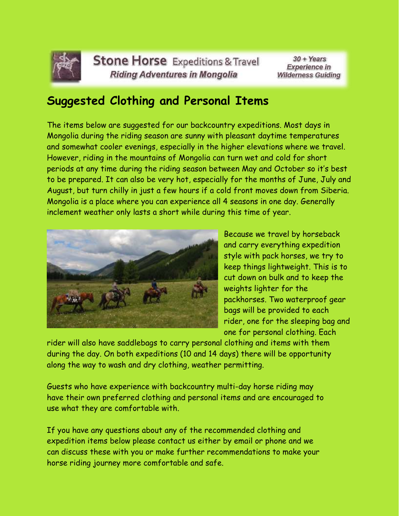

**Stone Horse** Expeditions & Travel **Riding Adventures in Mongolia** 

 $30 + Years$ **Experience in Wilderness Guiding** 

## **Suggested Clothing and Personal Items**

The items below are suggested for our backcountry expeditions. Most days in Mongolia during the riding season are sunny with pleasant daytime temperatures and somewhat cooler evenings, especially in the higher elevations where we travel. However, riding in the mountains of Mongolia can turn wet and cold for short periods at any time during the riding season between May and October so it's best to be prepared. It can also be very hot, especially for the months of June, July and August, but turn chilly in just a few hours if a cold front moves down from Siberia. Mongolia is a place where you can experience all 4 seasons in one day. Generally inclement weather only lasts a short while during this time of year.



Because we travel by horseback and carry everything expedition style with pack horses, we try to keep things lightweight. This is to cut down on bulk and to keep the weights lighter for the packhorses. Two waterproof gear bags will be provided to each rider, one for the sleeping bag and one for personal clothing. Each

rider will also have saddlebags to carry personal clothing and items with them during the day. On both expeditions (10 and 14 days) there will be opportunity along the way to wash and dry clothing, weather permitting.

Guests who have experience with backcountry multi-day horse riding may have their own preferred clothing and personal items and are encouraged to use what they are comfortable with.

If you have any questions about any of the recommended clothing and expedition items below please contact us either by email or phone and we can discuss these with you or make further recommendations to make your horse riding journey more comfortable and safe.